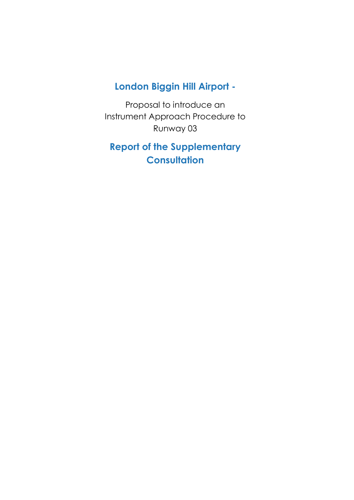## **London Biggin Hill Airport -**

Proposal to introduce an Instrument Approach Procedure to Runway 03

# **Report of the Supplementary Consultation**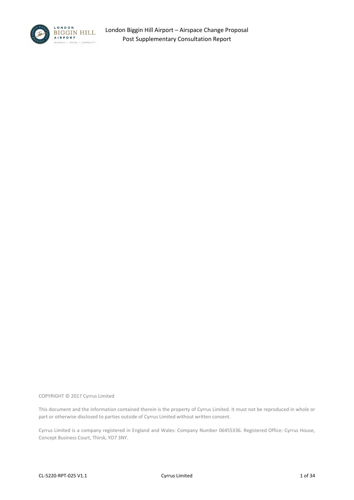

COPYRIGHT © 2017 Cyrrus Limited

This document and the information contained therein is the property of Cyrrus Limited. It must not be reproduced in whole or part or otherwise disclosed to parties outside of Cyrrus Limited without written consent.

Cyrrus Limited is a company registered in England and Wales: Company Number 06455336. Registered Office: Cyrrus House, Concept Business Court, Thirsk, YO7 3NY.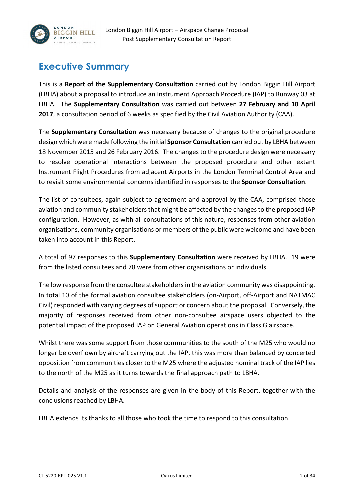

## <span id="page-2-0"></span>**Executive Summary**

This is a **Report of the Supplementary Consultation** carried out by London Biggin Hill Airport (LBHA) about a proposal to introduce an Instrument Approach Procedure (IAP) to Runway 03 at LBHA. The **Supplementary Consultation** was carried out between **27 February and 10 April 2017**, a consultation period of 6 weeks as specified by the Civil Aviation Authority (CAA).

The **Supplementary Consultation** was necessary because of changes to the original procedure design which were made following the initial **Sponsor Consultation** carried out by LBHA between 18 November 2015 and 26 February 2016. The changes to the procedure design were necessary to resolve operational interactions between the proposed procedure and other extant Instrument Flight Procedures from adjacent Airports in the London Terminal Control Area and to revisit some environmental concerns identified in responses to the **Sponsor Consultation**.

The list of consultees, again subject to agreement and approval by the CAA, comprised those aviation and community stakeholders that might be affected by the changes to the proposed IAP configuration. However, as with all consultations of this nature, responses from other aviation organisations, community organisations or members of the public were welcome and have been taken into account in this Report.

A total of 97 responses to this **Supplementary Consultation** were received by LBHA. 19 were from the listed consultees and 78 were from other organisations or individuals.

The low response from the consultee stakeholders in the aviation community was disappointing. In total 10 of the formal aviation consultee stakeholders (on-Airport, off-Airport and NATMAC Civil) responded with varying degrees of support or concern about the proposal. Conversely, the majority of responses received from other non-consultee airspace users objected to the potential impact of the proposed IAP on General Aviation operations in Class G airspace.

Whilst there was some support from those communities to the south of the M25 who would no longer be overflown by aircraft carrying out the IAP, this was more than balanced by concerted opposition from communities closer to the M25 where the adjusted nominal track of the IAP lies to the north of the M25 as it turns towards the final approach path to LBHA.

Details and analysis of the responses are given in the body of this Report, together with the conclusions reached by LBHA.

LBHA extends its thanks to all those who took the time to respond to this consultation.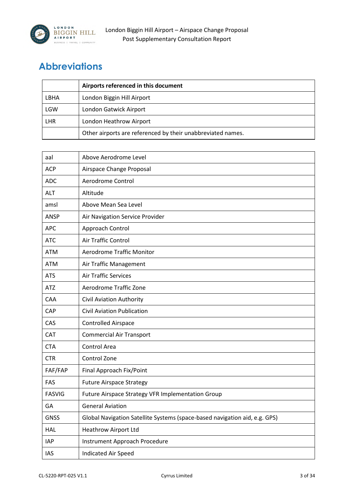

# <span id="page-3-0"></span>**Abbreviations**

|      | Airports referenced in this document                        |  |
|------|-------------------------------------------------------------|--|
| LBHA | London Biggin Hill Airport                                  |  |
| LGW  | London Gatwick Airport                                      |  |
| LHR  | London Heathrow Airport                                     |  |
|      | Other airports are referenced by their unabbreviated names. |  |

| aal           | Above Aerodrome Level                                                      |  |  |
|---------------|----------------------------------------------------------------------------|--|--|
| <b>ACP</b>    | Airspace Change Proposal                                                   |  |  |
| <b>ADC</b>    | Aerodrome Control                                                          |  |  |
| <b>ALT</b>    | Altitude                                                                   |  |  |
| amsl          | Above Mean Sea Level                                                       |  |  |
| <b>ANSP</b>   | Air Navigation Service Provider                                            |  |  |
| <b>APC</b>    | Approach Control                                                           |  |  |
| <b>ATC</b>    | Air Traffic Control                                                        |  |  |
| <b>ATM</b>    | <b>Aerodrome Traffic Monitor</b>                                           |  |  |
| <b>ATM</b>    | Air Traffic Management                                                     |  |  |
| <b>ATS</b>    | <b>Air Traffic Services</b>                                                |  |  |
| ATZ           | Aerodrome Traffic Zone                                                     |  |  |
| CAA           | <b>Civil Aviation Authority</b>                                            |  |  |
| CAP           | <b>Civil Aviation Publication</b>                                          |  |  |
| CAS           | <b>Controlled Airspace</b>                                                 |  |  |
| CAT           | <b>Commercial Air Transport</b>                                            |  |  |
| <b>CTA</b>    | Control Area                                                               |  |  |
| <b>CTR</b>    | Control Zone                                                               |  |  |
| FAF/FAP       | Final Approach Fix/Point                                                   |  |  |
| FAS           | <b>Future Airspace Strategy</b>                                            |  |  |
| <b>FASVIG</b> | Future Airspace Strategy VFR Implementation Group                          |  |  |
| GА            | <b>General Aviation</b>                                                    |  |  |
| <b>GNSS</b>   | Global Navigation Satellite Systems (space-based navigation aid, e.g. GPS) |  |  |
| HAL           | <b>Heathrow Airport Ltd</b>                                                |  |  |
| <b>IAP</b>    | Instrument Approach Procedure                                              |  |  |
| <b>IAS</b>    | Indicated Air Speed                                                        |  |  |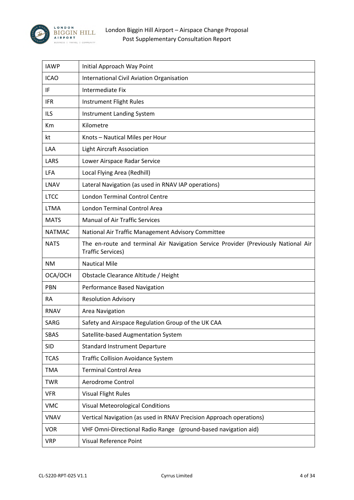

| <b>IAWP</b>   | Initial Approach Way Point                                                                                     |  |
|---------------|----------------------------------------------------------------------------------------------------------------|--|
| <b>ICAO</b>   | International Civil Aviation Organisation                                                                      |  |
| IF            | Intermediate Fix                                                                                               |  |
| <b>IFR</b>    | Instrument Flight Rules                                                                                        |  |
| <b>ILS</b>    | Instrument Landing System                                                                                      |  |
| Km            | Kilometre                                                                                                      |  |
| kt            | Knots - Nautical Miles per Hour                                                                                |  |
| LAA           | <b>Light Aircraft Association</b>                                                                              |  |
| LARS          | Lower Airspace Radar Service                                                                                   |  |
| <b>LFA</b>    | Local Flying Area (Redhill)                                                                                    |  |
| <b>LNAV</b>   | Lateral Navigation (as used in RNAV IAP operations)                                                            |  |
| <b>LTCC</b>   | <b>London Terminal Control Centre</b>                                                                          |  |
| <b>LTMA</b>   | London Terminal Control Area                                                                                   |  |
| <b>MATS</b>   | <b>Manual of Air Traffic Services</b>                                                                          |  |
| <b>NATMAC</b> | National Air Traffic Management Advisory Committee                                                             |  |
| <b>NATS</b>   | The en-route and terminal Air Navigation Service Provider (Previously National Air<br><b>Traffic Services)</b> |  |
|               |                                                                                                                |  |
| <b>NM</b>     | <b>Nautical Mile</b>                                                                                           |  |
| OCA/OCH       | Obstacle Clearance Altitude / Height                                                                           |  |
| <b>PBN</b>    | Performance Based Navigation                                                                                   |  |
| <b>RA</b>     | <b>Resolution Advisory</b>                                                                                     |  |
| <b>RNAV</b>   | Area Navigation                                                                                                |  |
| SARG          | Safety and Airspace Regulation Group of the UK CAA                                                             |  |
| SBAS          | Satellite-based Augmentation System                                                                            |  |
| <b>SID</b>    | <b>Standard Instrument Departure</b>                                                                           |  |
| <b>TCAS</b>   | <b>Traffic Collision Avoidance System</b>                                                                      |  |
| <b>TMA</b>    | <b>Terminal Control Area</b>                                                                                   |  |
| <b>TWR</b>    | Aerodrome Control                                                                                              |  |
| <b>VFR</b>    | <b>Visual Flight Rules</b>                                                                                     |  |
| <b>VMC</b>    | <b>Visual Meteorological Conditions</b>                                                                        |  |
| <b>VNAV</b>   | Vertical Navigation (as used in RNAV Precision Approach operations)                                            |  |
| <b>VOR</b>    | VHF Omni-Directional Radio Range (ground-based navigation aid)                                                 |  |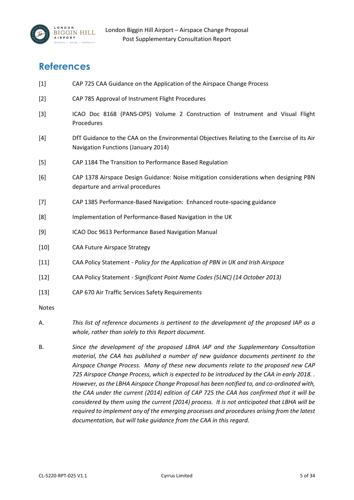

### <span id="page-5-0"></span>**References**

| $[1]$  | CAP 725 CAA Guidance on the Application of the Airspace Change Process                                                             |  |  |
|--------|------------------------------------------------------------------------------------------------------------------------------------|--|--|
| $[2]$  | CAP 785 Approval of Instrument Flight Procedures                                                                                   |  |  |
| $[3]$  | ICAO Doc 8168 (PANS-OPS) Volume 2 Construction of Instrument and Visual Flight<br>Procedures                                       |  |  |
| $[4]$  | DfT Guidance to the CAA on the Environmental Objectives Relating to the Exercise of its Air<br>Navigation Functions (January 2014) |  |  |
| $[5]$  | CAP 1184 The Transition to Performance Based Regulation                                                                            |  |  |
| [6]    | CAP 1378 Airspace Design Guidance: Noise mitigation considerations when designing PBN<br>departure and arrival procedures          |  |  |
| $[7]$  | CAP 1385 Performance-Based Navigation: Enhanced route-spacing guidance                                                             |  |  |
| [8]    | Implementation of Performance-Based Navigation in the UK                                                                           |  |  |
| $[9]$  | ICAO Doc 9613 Performance Based Navigation Manual                                                                                  |  |  |
| $[10]$ | <b>CAA Future Airspace Strategy</b>                                                                                                |  |  |
| $[11]$ | CAA Policy Statement - Policy for the Application of PBN in UK and Irish Airspace                                                  |  |  |

- [12] CAA Policy Statement  *[Significant Point Name Codes \(5LNC\) \(14 October 2013\)](http://www.caa.co.uk/docs/33/SignificantPointAndRouteDesignatorPolicy.pdf)*
- [13] CAP 670 Air Traffic Services Safety Requirements

Notes

- A. *This list of reference documents is pertinent to the development of the proposed IAP as a whole, rather than solely to this Report document.*
- B. *Since the development of the proposed LBHA IAP and the Supplementary Consultation material, the CAA has published a number of new guidance documents pertinent to the Airspace Change Process. Many of these new documents relate to the proposed new CAP 725 Airspace Change Process, which is expected to be introduced by the CAA in early 2018. . However, as the LBHA Airspace Change Proposal has been notified to, and co-ordinated with, the CAA under the current (2014) edition of CAP 725 the CAA has confirmed that it will be considered by them using the current (2014) process. It is not anticipated that LBHA will be required to implement any of the emerging processes and procedures arising from the latest documentation, but will take guidance from the CAA in this regard.*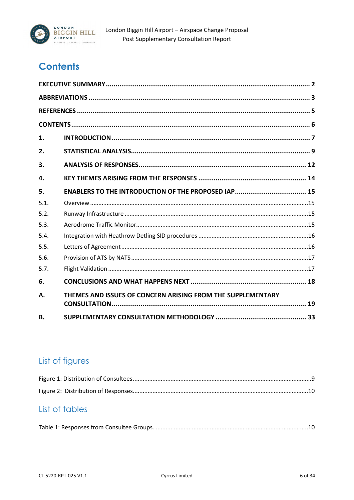

# <span id="page-6-0"></span>**Contents**

| $\mathbf 1$ . |                                                             |  |  |
|---------------|-------------------------------------------------------------|--|--|
| 2.            |                                                             |  |  |
| 3.            |                                                             |  |  |
| 4.            |                                                             |  |  |
| 5.            |                                                             |  |  |
| 5.1.          |                                                             |  |  |
| 5.2.          |                                                             |  |  |
| 5.3.          |                                                             |  |  |
| 5.4.          |                                                             |  |  |
| 5.5.          |                                                             |  |  |
| 5.6.          |                                                             |  |  |
| 5.7.          |                                                             |  |  |
| 6.            |                                                             |  |  |
| А.            | THEMES AND ISSUES OF CONCERN ARISING FROM THE SUPPLEMENTARY |  |  |
| <b>B.</b>     |                                                             |  |  |

### List of figures

| List of tables |  |
|----------------|--|

|--|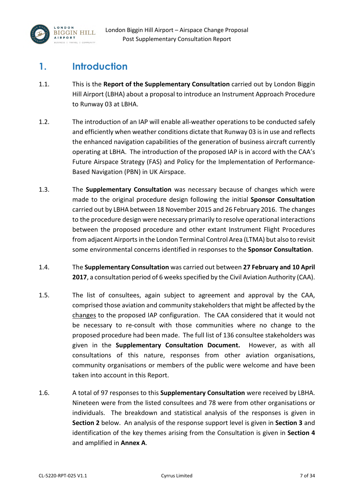

### <span id="page-7-0"></span>**1. Introduction**

- 1.1. This is the **Report of the Supplementary Consultation** carried out by London Biggin Hill Airport (LBHA) about a proposal to introduce an Instrument Approach Procedure to Runway 03 at LBHA.
- 1.2. The introduction of an IAP will enable all-weather operations to be conducted safely and efficiently when weather conditions dictate that Runway 03 is in use and reflects the enhanced navigation capabilities of the generation of business aircraft currently operating at LBHA. The introduction of the proposed IAP is in accord with the CAA's Future Airspace Strategy (FAS) and Policy for the Implementation of Performance-Based Navigation (PBN) in UK Airspace.
- 1.3. The **Supplementary Consultation** was necessary because of changes which were made to the original procedure design following the initial **Sponsor Consultation** carried out by LBHA between 18 November 2015 and 26 February 2016. The changes to the procedure design were necessary primarily to resolve operational interactions between the proposed procedure and other extant Instrument Flight Procedures from adjacent Airports in the London Terminal Control Area (LTMA) but also to revisit some environmental concerns identified in responses to the **Sponsor Consultation**.
- 1.4. The **Supplementary Consultation** was carried out between **27 February and 10 April 2017**, a consultation period of 6 weeks specified by the Civil Aviation Authority (CAA).
- 1.5. The list of consultees, again subject to agreement and approval by the CAA, comprised those aviation and community stakeholders that might be affected by the changes to the proposed IAP configuration. The CAA considered that it would not be necessary to re-consult with those communities where no change to the proposed procedure had been made. The full list of 136 consultee stakeholders was given in the **Supplementary Consultation Document.** However, as with all consultations of this nature, responses from other aviation organisations, community organisations or members of the public were welcome and have been taken into account in this Report.
- 1.6. A total of 97 responses to this **Supplementary Consultation** were received by LBHA. Nineteen were from the listed consultees and 78 were from other organisations or individuals. The breakdown and statistical analysis of the responses is given in **Section 2** below. An analysis of the response support level is given in **Section 3** and identification of the key themes arising from the Consultation is given in **Section 4** and amplified in **Annex A**.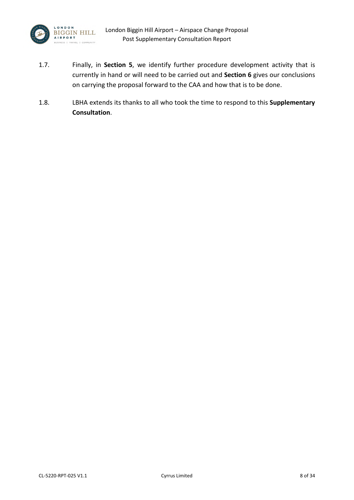

- 1.7. Finally, in **Section 5**, we identify further procedure development activity that is currently in hand or will need to be carried out and **Section 6** gives our conclusions on carrying the proposal forward to the CAA and how that is to be done.
- 1.8. LBHA extends its thanks to all who took the time to respond to this **Supplementary Consultation**.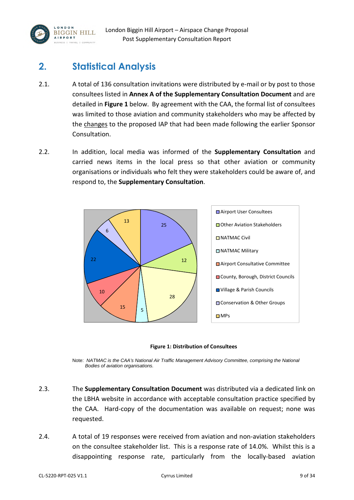

## <span id="page-9-0"></span>**2. Statistical Analysis**

- 2.1. A total of 136 consultation invitations were distributed by e-mail or by post to those consultees listed in **Annex A of the Supplementary Consultation Document** and are detailed in **Figure 1** below. By agreement with the CAA, the formal list of consultees was limited to those aviation and community stakeholders who may be affected by the changes to the proposed IAP that had been made following the earlier Sponsor Consultation.
- 2.2. In addition, local media was informed of the **Supplementary Consultation** and carried news items in the local press so that other aviation or community organisations or individuals who felt they were stakeholders could be aware of, and respond to, the **Supplementary Consultation**.



<span id="page-9-1"></span>

Note: *NATMAC is the CAA's National Air Traffic Management Advisory Committee, comprising the National Bodies of aviation organisations.*

- 2.3. The **Supplementary Consultation Document** was distributed via a dedicated link on the LBHA website in accordance with acceptable consultation practice specified by the CAA. Hard-copy of the documentation was available on request; none was requested.
- 2.4. A total of 19 responses were received from aviation and non-aviation stakeholders on the consultee stakeholder list. This is a response rate of 14.0%. Whilst this is a disappointing response rate, particularly from the locally-based aviation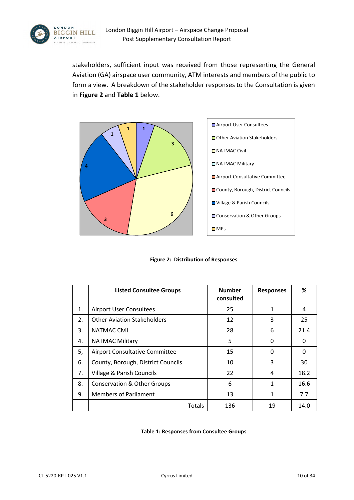

stakeholders, sufficient input was received from those representing the General Aviation (GA) airspace user community, ATM interests and members of the public to form a view. A breakdown of the stakeholder responses to the Consultation is given in **Figure 2** and **Table 1** below.



**Figure 2: Distribution of Responses**

<span id="page-10-0"></span>

|    | <b>Listed Consultee Groups</b>         | <b>Number</b><br>consulted | <b>Responses</b> | ℅    |
|----|----------------------------------------|----------------------------|------------------|------|
| 1. | <b>Airport User Consultees</b>         | 25                         | 1                | 4    |
| 2. | <b>Other Aviation Stakeholders</b>     | 12                         | 3                | 25   |
| 3. | <b>NATMAC Civil</b>                    | 28                         | 6                | 21.4 |
| 4. | <b>NATMAC Military</b>                 | 5                          | 0                | O    |
| 5, | Airport Consultative Committee         | 15                         | 0                | 0    |
| 6. | County, Borough, District Councils     | 10                         | 3                | 30   |
| 7. | Village & Parish Councils              | 22                         | 4                | 18.2 |
| 8. | <b>Conservation &amp; Other Groups</b> | 6                          | 1                | 16.6 |
| 9. | <b>Members of Parliament</b>           | 13                         |                  | 7.7  |
|    | Totals                                 | 136                        | 19               | 14.0 |

#### <span id="page-10-1"></span>**Table 1: Responses from Consultee Groups**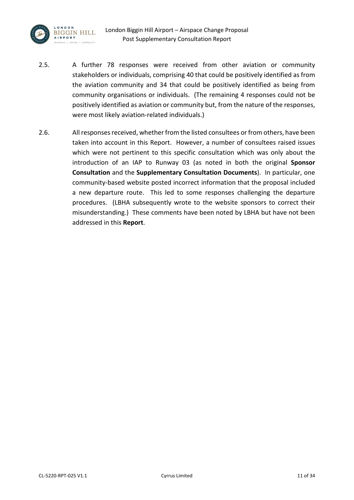

- 2.5. A further 78 responses were received from other aviation or community stakeholders or individuals, comprising 40 that could be positively identified as from the aviation community and 34 that could be positively identified as being from community organisations or individuals. (The remaining 4 responses could not be positively identified as aviation or community but, from the nature of the responses, were most likely aviation-related individuals.)
- 2.6. All responses received, whether from the listed consultees or from others, have been taken into account in this Report. However, a number of consultees raised issues which were not pertinent to this specific consultation which was only about the introduction of an IAP to Runway 03 (as noted in both the original **Sponsor Consultation** and the **Supplementary Consultation Documents**). In particular, one community-based website posted incorrect information that the proposal included a new departure route. This led to some responses challenging the departure procedures. (LBHA subsequently wrote to the website sponsors to correct their misunderstanding.) These comments have been noted by LBHA but have not been addressed in this **Report**.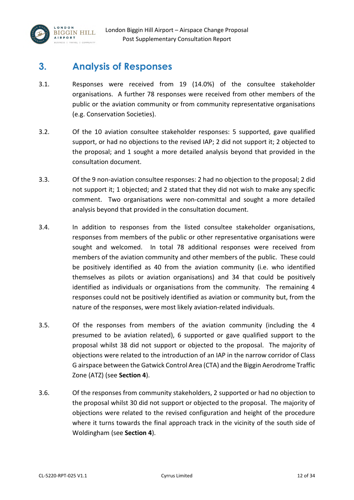

### <span id="page-12-0"></span>**3. Analysis of Responses**

- 3.1. Responses were received from 19 (14.0%) of the consultee stakeholder organisations. A further 78 responses were received from other members of the public or the aviation community or from community representative organisations (e.g. Conservation Societies).
- 3.2. Of the 10 aviation consultee stakeholder responses: 5 supported, gave qualified support, or had no objections to the revised IAP; 2 did not support it; 2 objected to the proposal; and 1 sought a more detailed analysis beyond that provided in the consultation document.
- 3.3. Of the 9 non-aviation consultee responses: 2 had no objection to the proposal; 2 did not support it; 1 objected; and 2 stated that they did not wish to make any specific comment. Two organisations were non-committal and sought a more detailed analysis beyond that provided in the consultation document.
- 3.4. In addition to responses from the listed consultee stakeholder organisations, responses from members of the public or other representative organisations were sought and welcomed. In total 78 additional responses were received from members of the aviation community and other members of the public. These could be positively identified as 40 from the aviation community (i.e. who identified themselves as pilots or aviation organisations) and 34 that could be positively identified as individuals or organisations from the community. The remaining 4 responses could not be positively identified as aviation or community but, from the nature of the responses, were most likely aviation-related individuals.
- 3.5. Of the responses from members of the aviation community (including the 4 presumed to be aviation related), 6 supported or gave qualified support to the proposal whilst 38 did not support or objected to the proposal. The majority of objections were related to the introduction of an IAP in the narrow corridor of Class G airspace between the Gatwick Control Area (CTA) and the Biggin Aerodrome Traffic Zone (ATZ) (see **Section 4**).
- 3.6. Of the responses from community stakeholders, 2 supported or had no objection to the proposal whilst 30 did not support or objected to the proposal. The majority of objections were related to the revised configuration and height of the procedure where it turns towards the final approach track in the vicinity of the south side of Woldingham (see **Section 4**).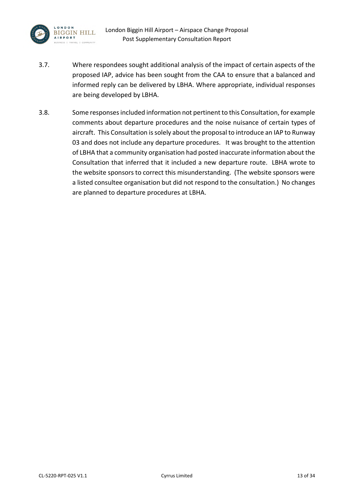

- 3.7. Where respondees sought additional analysis of the impact of certain aspects of the proposed IAP, advice has been sought from the CAA to ensure that a balanced and informed reply can be delivered by LBHA. Where appropriate, individual responses are being developed by LBHA.
- 3.8. Some responses included information not pertinent to this Consultation, for example comments about departure procedures and the noise nuisance of certain types of aircraft. This Consultation is solely about the proposal to introduce an IAP to Runway 03 and does not include any departure procedures. It was brought to the attention of LBHA that a community organisation had posted inaccurate information about the Consultation that inferred that it included a new departure route. LBHA wrote to the website sponsors to correct this misunderstanding. (The website sponsors were a listed consultee organisation but did not respond to the consultation.) No changes are planned to departure procedures at LBHA.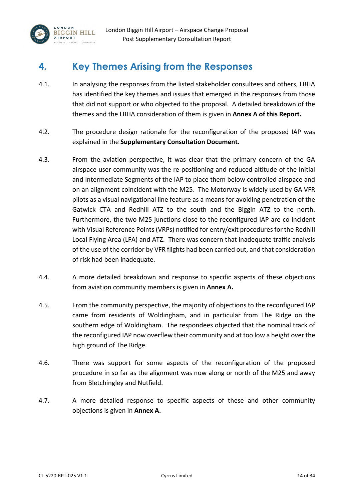

### <span id="page-14-0"></span>**4. Key Themes Arising from the Responses**

- 4.1. In analysing the responses from the listed stakeholder consultees and others, LBHA has identified the key themes and issues that emerged in the responses from those that did not support or who objected to the proposal. A detailed breakdown of the themes and the LBHA consideration of them is given in **Annex A of this Report.**
- 4.2. The procedure design rationale for the reconfiguration of the proposed IAP was explained in the **Supplementary Consultation Document.**
- 4.3. From the aviation perspective, it was clear that the primary concern of the GA airspace user community was the re-positioning and reduced altitude of the Initial and Intermediate Segments of the IAP to place them below controlled airspace and on an alignment coincident with the M25. The Motorway is widely used by GA VFR pilots as a visual navigational line feature as a means for avoiding penetration of the Gatwick CTA and Redhill ATZ to the south and the Biggin ATZ to the north. Furthermore, the two M25 junctions close to the reconfigured IAP are co-incident with Visual Reference Points (VRPs) notified for entry/exit procedures for the Redhill Local Flying Area (LFA) and ATZ. There was concern that inadequate traffic analysis of the use of the corridor by VFR flights had been carried out, and that consideration of risk had been inadequate.
- 4.4. A more detailed breakdown and response to specific aspects of these objections from aviation community members is given in **Annex A.**
- 4.5. From the community perspective, the majority of objections to the reconfigured IAP came from residents of Woldingham, and in particular from The Ridge on the southern edge of Woldingham. The respondees objected that the nominal track of the reconfigured IAP now overflew their community and at too low a height over the high ground of The Ridge.
- 4.6. There was support for some aspects of the reconfiguration of the proposed procedure in so far as the alignment was now along or north of the M25 and away from Bletchingley and Nutfield.
- 4.7. A more detailed response to specific aspects of these and other community objections is given in **Annex A.**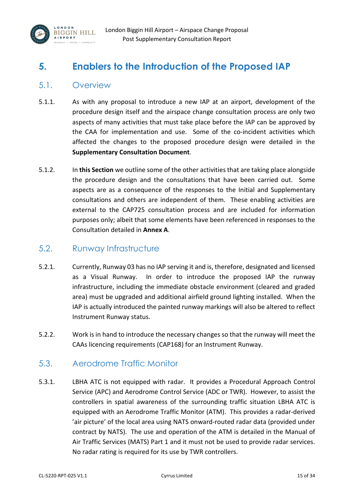

### <span id="page-15-0"></span>**5. Enablers to the Introduction of the Proposed IAP**

#### <span id="page-15-1"></span>5.1. Overview

- 5.1.1. As with any proposal to introduce a new IAP at an airport, development of the procedure design itself and the airspace change consultation process are only two aspects of many activities that must take place before the IAP can be approved by the CAA for implementation and use. Some of the co-incident activities which affected the changes to the proposed procedure design were detailed in the **Supplementary Consultation Document**.
- 5.1.2. In **this Section** we outline some of the other activities that are taking place alongside the procedure design and the consultations that have been carried out. Some aspects are as a consequence of the responses to the Initial and Supplementary consultations and others are independent of them. These enabling activities are external to the CAP725 consultation process and are included for information purposes only; albeit that some elements have been referenced in responses to the Consultation detailed in **Annex A**.

#### <span id="page-15-2"></span>5.2. Runway Infrastructure

- 5.2.1. Currently, Runway 03 has no IAP serving it and is, therefore, designated and licensed as a Visual Runway. In order to introduce the proposed IAP the runway infrastructure, including the immediate obstacle environment (cleared and graded area) must be upgraded and additional airfield ground lighting installed. When the IAP is actually introduced the painted runway markings will also be altered to reflect Instrument Runway status.
- 5.2.2. Work is in hand to introduce the necessary changes so that the runway will meet the CAAs licencing requirements (CAP168) for an Instrument Runway.

#### <span id="page-15-3"></span>5.3. Aerodrome Traffic Monitor

5.3.1. LBHA ATC is not equipped with radar. It provides a Procedural Approach Control Service (APC) and Aerodrome Control Service (ADC or TWR). However, to assist the controllers in spatial awareness of the surrounding traffic situation LBHA ATC is equipped with an Aerodrome Traffic Monitor (ATM). This provides a radar-derived 'air picture' of the local area using NATS onward-routed radar data (provided under contract by NATS). The use and operation of the ATM is detailed in the Manual of Air Traffic Services (MATS) Part 1 and it must not be used to provide radar services. No radar rating is required for its use by TWR controllers.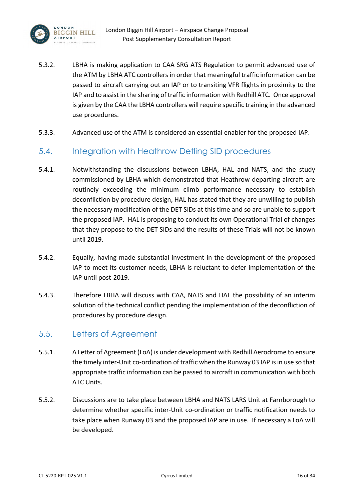

- 5.3.2. LBHA is making application to CAA SRG ATS Regulation to permit advanced use of the ATM by LBHA ATC controllers in order that meaningful traffic information can be passed to aircraft carrying out an IAP or to transiting VFR flights in proximity to the IAP and to assist in the sharing of traffic information with Redhill ATC. Once approval is given by the CAA the LBHA controllers will require specific training in the advanced use procedures.
- 5.3.3. Advanced use of the ATM is considered an essential enabler for the proposed IAP.

#### <span id="page-16-0"></span>5.4. Integration with Heathrow Detling SID procedures

- 5.4.1. Notwithstanding the discussions between LBHA, HAL and NATS, and the study commissioned by LBHA which demonstrated that Heathrow departing aircraft are routinely exceeding the minimum climb performance necessary to establish deconfliction by procedure design, HAL has stated that they are unwilling to publish the necessary modification of the DET SIDs at this time and so are unable to support the proposed IAP. HAL is proposing to conduct its own Operational Trial of changes that they propose to the DET SIDs and the results of these Trials will not be known until 2019.
- 5.4.2. Equally, having made substantial investment in the development of the proposed IAP to meet its customer needs, LBHA is reluctant to defer implementation of the IAP until post-2019.
- 5.4.3. Therefore LBHA will discuss with CAA, NATS and HAL the possibility of an interim solution of the technical conflict pending the implementation of the deconfliction of procedures by procedure design.

#### <span id="page-16-1"></span>5.5. Letters of Agreement

- 5.5.1. A Letter of Agreement (LoA) is under development with Redhill Aerodrome to ensure the timely inter-Unit co-ordination of traffic when the Runway 03 IAP is in use so that appropriate traffic information can be passed to aircraft in communication with both ATC Units.
- 5.5.2. Discussions are to take place between LBHA and NATS LARS Unit at Farnborough to determine whether specific inter-Unit co-ordination or traffic notification needs to take place when Runway 03 and the proposed IAP are in use. If necessary a LoA will be developed.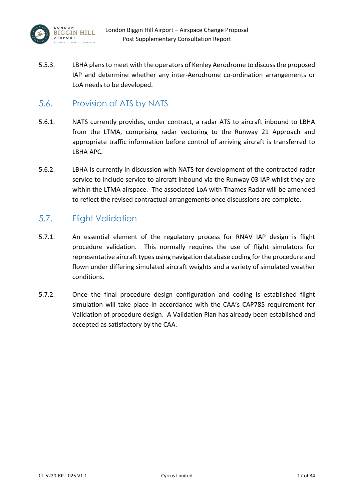

5.5.3. LBHA plans to meet with the operators of Kenley Aerodrome to discuss the proposed IAP and determine whether any inter-Aerodrome co-ordination arrangements or LoA needs to be developed.

#### <span id="page-17-0"></span>5.6. Provision of ATS by NATS

- 5.6.1. NATS currently provides, under contract, a radar ATS to aircraft inbound to LBHA from the LTMA, comprising radar vectoring to the Runway 21 Approach and appropriate traffic information before control of arriving aircraft is transferred to LBHA APC.
- 5.6.2. LBHA is currently in discussion with NATS for development of the contracted radar service to include service to aircraft inbound via the Runway 03 IAP whilst they are within the LTMA airspace. The associated LoA with Thames Radar will be amended to reflect the revised contractual arrangements once discussions are complete.

#### <span id="page-17-1"></span>5.7. Flight Validation

- 5.7.1. An essential element of the regulatory process for RNAV IAP design is flight procedure validation. This normally requires the use of flight simulators for representative aircraft types using navigation database coding for the procedure and flown under differing simulated aircraft weights and a variety of simulated weather conditions.
- 5.7.2. Once the final procedure design configuration and coding is established flight simulation will take place in accordance with the CAA's CAP785 requirement for Validation of procedure design. A Validation Plan has already been established and accepted as satisfactory by the CAA.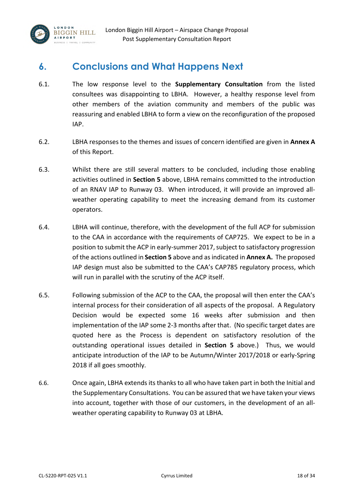

### <span id="page-18-0"></span>**6. Conclusions and What Happens Next**

- 6.1. The low response level to the **Supplementary Consultation** from the listed consultees was disappointing to LBHA. However, a healthy response level from other members of the aviation community and members of the public was reassuring and enabled LBHA to form a view on the reconfiguration of the proposed IAP.
- 6.2. LBHA responses to the themes and issues of concern identified are given in **Annex A** of this Report.
- 6.3. Whilst there are still several matters to be concluded, including those enabling activities outlined in **Section 5** above, LBHA remains committed to the introduction of an RNAV IAP to Runway 03. When introduced, it will provide an improved allweather operating capability to meet the increasing demand from its customer operators.
- 6.4. LBHA will continue, therefore, with the development of the full ACP for submission to the CAA in accordance with the requirements of CAP725. We expect to be in a position to submit the ACP in early-summer 2017, subject to satisfactory progression of the actions outlined in **Section 5** above and as indicated in **Annex A.** The proposed IAP design must also be submitted to the CAA's CAP785 regulatory process, which will run in parallel with the scrutiny of the ACP itself.
- 6.5. Following submission of the ACP to the CAA, the proposal will then enter the CAA's internal process for their consideration of all aspects of the proposal. A Regulatory Decision would be expected some 16 weeks after submission and then implementation of the IAP some 2-3 months after that. (No specific target dates are quoted here as the Process is dependent on satisfactory resolution of the outstanding operational issues detailed in **Section 5** above.) Thus, we would anticipate introduction of the IAP to be Autumn/Winter 2017/2018 or early-Spring 2018 if all goes smoothly.
- 6.6. Once again, LBHA extends its thanks to all who have taken part in both the Initial and the Supplementary Consultations. You can be assured that we have taken your views into account, together with those of our customers, in the development of an allweather operating capability to Runway 03 at LBHA.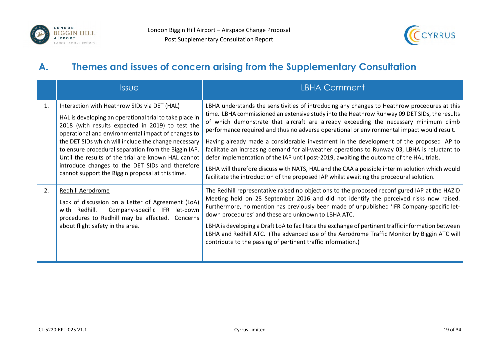



# **A. Themes and issues of concern arising from the Supplementary Consultation**

<span id="page-19-0"></span>

|    | <b>Issue</b>                                                                                                                                                                                                                                                                                                                                                                                                                                                                                    | <b>LBHA Comment</b>                                                                                                                                                                                                                                                                                                                                                                                                                                                                                                                                                                                                                                                                                                                                                                                                                                                      |
|----|-------------------------------------------------------------------------------------------------------------------------------------------------------------------------------------------------------------------------------------------------------------------------------------------------------------------------------------------------------------------------------------------------------------------------------------------------------------------------------------------------|--------------------------------------------------------------------------------------------------------------------------------------------------------------------------------------------------------------------------------------------------------------------------------------------------------------------------------------------------------------------------------------------------------------------------------------------------------------------------------------------------------------------------------------------------------------------------------------------------------------------------------------------------------------------------------------------------------------------------------------------------------------------------------------------------------------------------------------------------------------------------|
| 1. | Interaction with Heathrow SIDs via DET (HAL)<br>HAL is developing an operational trial to take place in<br>2018 (with results expected in 2019) to test the<br>operational and environmental impact of changes to<br>the DET SIDs which will include the change necessary<br>to ensure procedural separation from the Biggin IAP.<br>Until the results of the trial are known HAL cannot<br>introduce changes to the DET SIDs and therefore<br>cannot support the Biggin proposal at this time. | LBHA understands the sensitivities of introducing any changes to Heathrow procedures at this<br>time. LBHA commissioned an extensive study into the Heathrow Runway 09 DET SIDs, the results<br>of which demonstrate that aircraft are already exceeding the necessary minimum climb<br>performance required and thus no adverse operational or environmental impact would result.<br>Having already made a considerable investment in the development of the proposed IAP to<br>facilitate an increasing demand for all-weather operations to Runway 03, LBHA is reluctant to<br>defer implementation of the IAP until post-2019, awaiting the outcome of the HAL trials.<br>LBHA will therefore discuss with NATS, HAL and the CAA a possible interim solution which would<br>facilitate the introduction of the proposed IAP whilst awaiting the procedural solution. |
| 2. | Redhill Aerodrome<br>Lack of discussion on a Letter of Agreement (LoA)<br>Company-specific IFR let-down<br>with Redhill.<br>procedures to Redhill may be affected. Concerns<br>about flight safety in the area.                                                                                                                                                                                                                                                                                 | The Redhill representative raised no objections to the proposed reconfigured IAP at the HAZID<br>Meeting held on 28 September 2016 and did not identify the perceived risks now raised.<br>Furthermore, no mention has previously been made of unpublished 'IFR Company-specific let-<br>down procedures' and these are unknown to LBHA ATC.<br>LBHA is developing a Draft LoA to facilitate the exchange of pertinent traffic information between<br>LBHA and Redhill ATC. (The advanced use of the Aerodrome Traffic Monitor by Biggin ATC will<br>contribute to the passing of pertinent traffic information.)                                                                                                                                                                                                                                                        |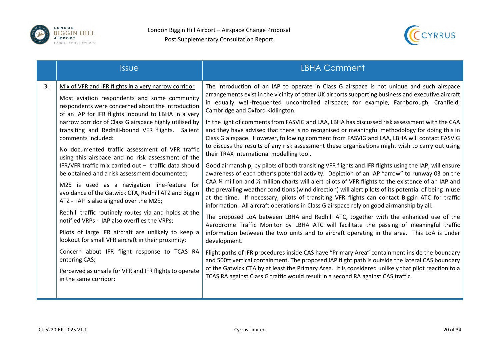



|    | <b>Issue</b>                                                                                                                                                                                                                                                                                                                                                                                                                                                                                                                                                                                                                                                                                                                                                                                                                                                                                                                                     | <b>LBHA Comment</b>                                                                                                                                                                                                                                                                                                                                                                                                                                                                                                                                                                                                                                                                                                                                                                                                                                                                                                                                                                                                                                                                                                                                                                                                                                                                                                                                                                                                                                                                                                                                                                                                                                                                                     |
|----|--------------------------------------------------------------------------------------------------------------------------------------------------------------------------------------------------------------------------------------------------------------------------------------------------------------------------------------------------------------------------------------------------------------------------------------------------------------------------------------------------------------------------------------------------------------------------------------------------------------------------------------------------------------------------------------------------------------------------------------------------------------------------------------------------------------------------------------------------------------------------------------------------------------------------------------------------|---------------------------------------------------------------------------------------------------------------------------------------------------------------------------------------------------------------------------------------------------------------------------------------------------------------------------------------------------------------------------------------------------------------------------------------------------------------------------------------------------------------------------------------------------------------------------------------------------------------------------------------------------------------------------------------------------------------------------------------------------------------------------------------------------------------------------------------------------------------------------------------------------------------------------------------------------------------------------------------------------------------------------------------------------------------------------------------------------------------------------------------------------------------------------------------------------------------------------------------------------------------------------------------------------------------------------------------------------------------------------------------------------------------------------------------------------------------------------------------------------------------------------------------------------------------------------------------------------------------------------------------------------------------------------------------------------------|
| 3. | Mix of VFR and IFR flights in a very narrow corridor<br>Most aviation respondents and some community<br>respondents were concerned about the introduction<br>of an IAP for IFR flights inbound to LBHA in a very<br>narrow corridor of Class G airspace highly utilised by<br>transiting and Redhill-bound VFR flights. Salient<br>comments included:<br>No documented traffic assessment of VFR traffic<br>using this airspace and no risk assessment of the<br>IFR/VFR traffic mix carried out - traffic data should<br>be obtained and a risk assessment documented;<br>M25 is used as a navigation line-feature for<br>avoidance of the Gatwick CTA, Redhill ATZ and Biggin<br>ATZ - IAP is also aligned over the M25;<br>Redhill traffic routinely routes via and holds at the<br>notified VRPs - IAP also overflies the VRPs;<br>Pilots of large IFR aircraft are unlikely to keep a<br>lookout for small VFR aircraft in their proximity; | The introduction of an IAP to operate in Class G airspace is not unique and such airspace<br>arrangements exist in the vicinity of other UK airports supporting business and executive aircraft<br>in equally well-frequented uncontrolled airspace; for example, Farnborough, Cranfield,<br>Cambridge and Oxford Kidlington.<br>In the light of comments from FASVIG and LAA, LBHA has discussed risk assessment with the CAA<br>and they have advised that there is no recognised or meaningful methodology for doing this in<br>Class G airspace. However, following comment from FASVIG and LAA, LBHA will contact FASVIG<br>to discuss the results of any risk assessment these organisations might wish to carry out using<br>their TRAX International modelling tool.<br>Good airmanship, by pilots of both transiting VFR flights and IFR flights using the IAP, will ensure<br>awareness of each other's potential activity. Depiction of an IAP "arrow" to runway 03 on the<br>CAA 1/4 million and 1/2 million charts will alert pilots of VFR flights to the existence of an IAP and<br>the prevailing weather conditions (wind direction) will alert pilots of its potential of being in use<br>at the time. If necessary, pilots of transiting VFR flights can contact Biggin ATC for traffic<br>information. All aircraft operations in Class G airspace rely on good airmanship by all.<br>The proposed LoA between LBHA and Redhill ATC, together with the enhanced use of the<br>Aerodrome Traffic Monitor by LBHA ATC will facilitate the passing of meaningful traffic<br>information between the two units and to aircraft operating in the area. This LoA is under<br>development. |
|    | Concern about IFR flight response to TCAS RA<br>entering CAS;<br>Perceived as unsafe for VFR and IFR flights to operate<br>in the same corridor;                                                                                                                                                                                                                                                                                                                                                                                                                                                                                                                                                                                                                                                                                                                                                                                                 | Flight paths of IFR procedures inside CAS have "Primary Area" containment inside the boundary<br>and 500ft vertical containment. The proposed IAP flight path is outside the lateral CAS boundary<br>of the Gatwick CTA by at least the Primary Area. It is considered unlikely that pilot reaction to a<br>TCAS RA against Class G traffic would result in a second RA against CAS traffic.                                                                                                                                                                                                                                                                                                                                                                                                                                                                                                                                                                                                                                                                                                                                                                                                                                                                                                                                                                                                                                                                                                                                                                                                                                                                                                            |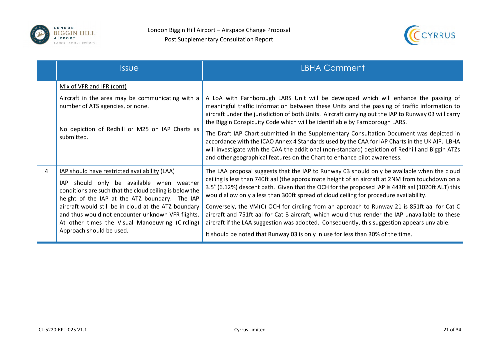



|   | <i><u><b>Issue</b></u></i>                                                                                                                                                                              | <b>LBHA Comment</b>                                                                                                                                                                                                                                                                                                                                                                            |
|---|---------------------------------------------------------------------------------------------------------------------------------------------------------------------------------------------------------|------------------------------------------------------------------------------------------------------------------------------------------------------------------------------------------------------------------------------------------------------------------------------------------------------------------------------------------------------------------------------------------------|
|   | Mix of VFR and IFR (cont)                                                                                                                                                                               |                                                                                                                                                                                                                                                                                                                                                                                                |
|   | Aircraft in the area may be communicating with a<br>number of ATS agencies, or none.                                                                                                                    | A LoA with Farnborough LARS Unit will be developed which will enhance the passing of<br>meaningful traffic information between these Units and the passing of traffic information to<br>aircraft under the jurisdiction of both Units. Aircraft carrying out the IAP to Runway 03 will carry<br>the Biggin Conspicuity Code which will be identifiable by Farnborough LARS.                    |
|   | No depiction of Redhill or M25 on IAP Charts as<br>submitted.                                                                                                                                           | The Draft IAP Chart submitted in the Supplementary Consultation Document was depicted in<br>accordance with the ICAO Annex 4 Standards used by the CAA for IAP Charts in the UK AIP. LBHA<br>will investigate with the CAA the additional (non-standard) depiction of Redhill and Biggin ATZs<br>and other geographical features on the Chart to enhance pilot awareness.                      |
| 4 | IAP should have restricted availability (LAA)<br>IAP should only be available when weather<br>conditions are such that the cloud ceiling is below the<br>height of the IAP at the ATZ boundary. The IAP | The LAA proposal suggests that the IAP to Runway 03 should only be available when the cloud<br>ceiling is less than 740ft aal (the approximate height of an aircraft at 2NM from touchdown on a<br>3.5° (6.12%) descent path. Given that the OCH for the proposed IAP is 443ft aal (1020ft ALT) this<br>would allow only a less than 300ft spread of cloud ceiling for procedure availability. |
|   | aircraft would still be in cloud at the ATZ boundary<br>and thus would not encounter unknown VFR flights.<br>At other times the Visual Manoeuvring (Circling)<br>Approach should be used.               | Conversely, the VM(C) OCH for circling from an approach to Runway 21 is 851ft aal for Cat C<br>aircraft and 751ft aal for Cat B aircraft, which would thus render the IAP unavailable to these<br>aircraft if the LAA suggestion was adopted. Consequently, this suggestion appears unviable.                                                                                                  |
|   |                                                                                                                                                                                                         | It should be noted that Runway 03 is only in use for less than 30% of the time.                                                                                                                                                                                                                                                                                                                |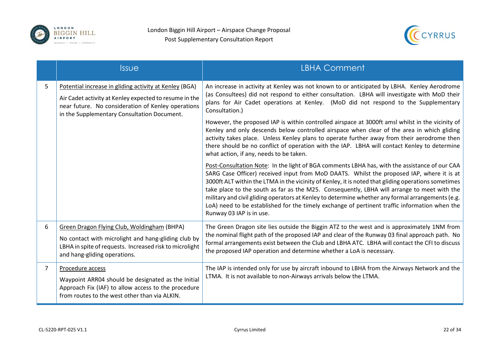



|                | <b>Issue</b>                                                                                                                                                                                                          | <b>LBHA Comment</b>                                                                                                                                                                                                                                                                                                                                                                                                                                                                                                                                                                                                                |  |
|----------------|-----------------------------------------------------------------------------------------------------------------------------------------------------------------------------------------------------------------------|------------------------------------------------------------------------------------------------------------------------------------------------------------------------------------------------------------------------------------------------------------------------------------------------------------------------------------------------------------------------------------------------------------------------------------------------------------------------------------------------------------------------------------------------------------------------------------------------------------------------------------|--|
| 5              | Potential increase in gliding activity at Kenley (BGA)<br>Air Cadet activity at Kenley expected to resume in the<br>near future. No consideration of Kenley operations<br>in the Supplementary Consultation Document. | An increase in activity at Kenley was not known to or anticipated by LBHA. Kenley Aerodrome<br>(as Consultees) did not respond to either consultation. LBHA will investigate with MoD their<br>plans for Air Cadet operations at Kenley. (MoD did not respond to the Supplementary<br>Consultation.)                                                                                                                                                                                                                                                                                                                               |  |
|                |                                                                                                                                                                                                                       | However, the proposed IAP is within controlled airspace at 3000ft amsl whilst in the vicinity of<br>Kenley and only descends below controlled airspace when clear of the area in which gliding<br>activity takes place. Unless Kenley plans to operate further away from their aerodrome then<br>there should be no conflict of operation with the IAP. LBHA will contact Kenley to determine<br>what action, if any, needs to be taken.                                                                                                                                                                                           |  |
|                |                                                                                                                                                                                                                       | Post-Consultation Note: In the light of BGA comments LBHA has, with the assistance of our CAA<br>SARG Case Officer) received input from MoD DAATS. Whilst the proposed IAP, where it is at<br>3000ft ALT within the LTMA in the vicinity of Kenley, it is noted that gliding operations sometimes<br>take place to the south as far as the M25. Consequently, LBHA will arrange to meet with the<br>military and civil gliding operators at Kenley to determine whether any formal arrangements (e.g.<br>LoA) need to be established for the timely exchange of pertinent traffic information when the<br>Runway 03 IAP is in use. |  |
| 6              | Green Dragon Flying Club, Woldingham (BHPA)<br>No contact with microlight and hang-gliding club by<br>LBHA in spite of requests. Increased risk to microlight<br>and hang-gliding operations.                         | The Green Dragon site lies outside the Biggin ATZ to the west and is approximately 1NM from<br>the nominal flight path of the proposed IAP and clear of the Runway 03 final approach path. No<br>formal arrangements exist between the Club and LBHA ATC. LBHA will contact the CFI to discuss<br>the proposed IAP operation and determine whether a LoA is necessary.                                                                                                                                                                                                                                                             |  |
| $\overline{7}$ | Procedure access<br>Waypoint ARR04 should be designated as the Initial<br>Approach Fix (IAF) to allow access to the procedure<br>from routes to the west other than via ALKIN.                                        | The IAP is intended only for use by aircraft inbound to LBHA from the Airways Network and the<br>LTMA. It is not available to non-Airways arrivals below the LTMA.                                                                                                                                                                                                                                                                                                                                                                                                                                                                 |  |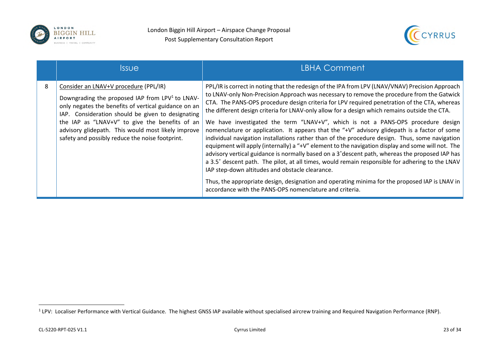



|   | <i><u><b>Issue</b></u></i>                                                                                                                                                                                                                                                                                                                                                   | <b>LBHA Comment</b>                                                                                                                                                                                                                                                                                                                                                                                                                                                                                                                                                                                                                                                                                                                                                                                                                                                                                                                                                                                                                                                                                                                                                                                              |
|---|------------------------------------------------------------------------------------------------------------------------------------------------------------------------------------------------------------------------------------------------------------------------------------------------------------------------------------------------------------------------------|------------------------------------------------------------------------------------------------------------------------------------------------------------------------------------------------------------------------------------------------------------------------------------------------------------------------------------------------------------------------------------------------------------------------------------------------------------------------------------------------------------------------------------------------------------------------------------------------------------------------------------------------------------------------------------------------------------------------------------------------------------------------------------------------------------------------------------------------------------------------------------------------------------------------------------------------------------------------------------------------------------------------------------------------------------------------------------------------------------------------------------------------------------------------------------------------------------------|
| 8 | Consider an LNAV+V procedure (PPL/IR)<br>Downgrading the proposed IAP from LPV <sup>1</sup> to LNAV-<br>only negates the benefits of vertical guidance on an<br>IAP. Consideration should be given to designating<br>the IAP as "LNAV+V" to give the benefits of an<br>advisory glidepath. This would most likely improve<br>safety and possibly reduce the noise footprint. | PPL/IR is correct in noting that the redesign of the IPA from LPV (LNAV/VNAV) Precision Approach<br>to LNAV-only Non-Precision Approach was necessary to remove the procedure from the Gatwick<br>CTA. The PANS-OPS procedure design criteria for LPV required penetration of the CTA, whereas<br>the different design criteria for LNAV-only allow for a design which remains outside the CTA.<br>We have investigated the term "LNAV+V", which is not a PANS-OPS procedure design<br>nomenclature or application. It appears that the "+V" advisory glidepath is a factor of some<br>individual navigation installations rather than of the procedure design. Thus, some navigation<br>equipment will apply (internally) a "+V" element to the navigation display and some will not. The<br>advisory vertical guidance is normally based on a 3° descent path, whereas the proposed IAP has<br>a 3.5° descent path. The pilot, at all times, would remain responsible for adhering to the LNAV<br>IAP step-down altitudes and obstacle clearance.<br>Thus, the appropriate design, designation and operating minima for the proposed IAP is LNAV in<br>accordance with the PANS-OPS nomenclature and criteria. |

<span id="page-23-0"></span><sup>&</sup>lt;sup>1</sup> LPV: Localiser Performance with Vertical Guidance. The highest GNSS IAP available without specialised aircrew training and Required Navigation Performance (RNP).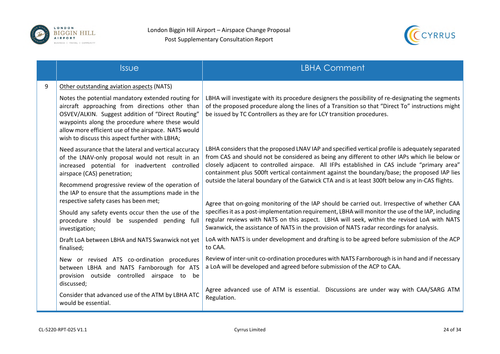



|   | <b>Issue</b>                                                                                                                                                                                                                                                                                                                                                         | <b>LBHA Comment</b>                                                                                                                                                                                                                                                                                                                                                                                                                                                                                 |
|---|----------------------------------------------------------------------------------------------------------------------------------------------------------------------------------------------------------------------------------------------------------------------------------------------------------------------------------------------------------------------|-----------------------------------------------------------------------------------------------------------------------------------------------------------------------------------------------------------------------------------------------------------------------------------------------------------------------------------------------------------------------------------------------------------------------------------------------------------------------------------------------------|
| 9 | Other outstanding aviation aspects (NATS)<br>Notes the potential mandatory extended routing for<br>aircraft approaching from directions other than<br>OSVEV/ALKIN. Suggest addition of "Direct Routing"<br>waypoints along the procedure where these would<br>allow more efficient use of the airspace. NATS would<br>wish to discuss this aspect further with LBHA; | LBHA will investigate with its procedure designers the possibility of re-designating the segments<br>of the proposed procedure along the lines of a Transition so that "Direct To" instructions might<br>be issued by TC Controllers as they are for LCY transition procedures.                                                                                                                                                                                                                     |
|   | Need assurance that the lateral and vertical accuracy<br>of the LNAV-only proposal would not result in an<br>increased potential for inadvertent controlled<br>airspace (CAS) penetration;<br>Recommend progressive review of the operation of<br>the IAP to ensure that the assumptions made in the                                                                 | LBHA considers that the proposed LNAV IAP and specified vertical profile is adequately separated<br>from CAS and should not be considered as being any different to other IAPs which lie below or<br>closely adjacent to controlled airspace. All IFPs established in CAS include "primary area"<br>containment plus 500ft vertical containment against the boundary/base; the proposed IAP lies<br>outside the lateral boundary of the Gatwick CTA and is at least 300ft below any in-CAS flights. |
|   | respective safety cases has been met;<br>Should any safety events occur then the use of the<br>procedure should be suspended pending full<br>investigation;                                                                                                                                                                                                          | Agree that on-going monitoring of the IAP should be carried out. Irrespective of whether CAA<br>specifies it as a post-implementation requirement, LBHA will monitor the use of the IAP, including<br>regular reviews with NATS on this aspect. LBHA will seek, within the revised LoA with NATS<br>Swanwick, the assistance of NATS in the provision of NATS radar recordings for analysis.                                                                                                        |
|   | Draft LoA between LBHA and NATS Swanwick not yet<br>finalised;                                                                                                                                                                                                                                                                                                       | LoA with NATS is under development and drafting is to be agreed before submission of the ACP<br>to CAA.                                                                                                                                                                                                                                                                                                                                                                                             |
|   | New or revised ATS co-ordination procedures<br>between LBHA and NATS Farnborough for ATS<br>provision outside controlled airspace to be<br>discussed;                                                                                                                                                                                                                | Review of inter-unit co-ordination procedures with NATS Farnborough is in hand and if necessary<br>a LoA will be developed and agreed before submission of the ACP to CAA.                                                                                                                                                                                                                                                                                                                          |
|   | Consider that advanced use of the ATM by LBHA ATC<br>would be essential.                                                                                                                                                                                                                                                                                             | Agree advanced use of ATM is essential. Discussions are under way with CAA/SARG ATM<br>Regulation.                                                                                                                                                                                                                                                                                                                                                                                                  |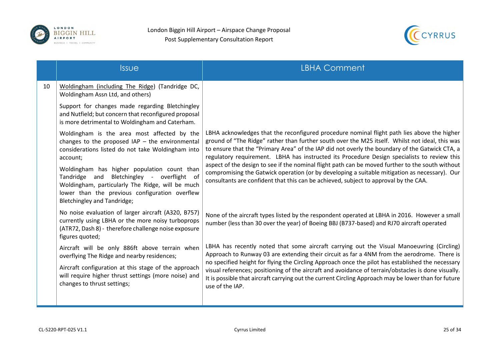



|    | <b>Issue</b>                                                                                                                                                                                                                                 | <b>LBHA Comment</b>                                                                                                                                                                                                                                                                                                                                                                                                                                                                                                             |
|----|----------------------------------------------------------------------------------------------------------------------------------------------------------------------------------------------------------------------------------------------|---------------------------------------------------------------------------------------------------------------------------------------------------------------------------------------------------------------------------------------------------------------------------------------------------------------------------------------------------------------------------------------------------------------------------------------------------------------------------------------------------------------------------------|
| 10 | Woldingham (including The Ridge) (Tandridge DC,<br>Woldingham Assn Ltd, and others)                                                                                                                                                          |                                                                                                                                                                                                                                                                                                                                                                                                                                                                                                                                 |
|    | Support for changes made regarding Bletchingley<br>and Nutfield; but concern that reconfigured proposal<br>is more detrimental to Woldingham and Caterham.                                                                                   |                                                                                                                                                                                                                                                                                                                                                                                                                                                                                                                                 |
|    | Woldingham is the area most affected by the<br>changes to the proposed $IAP -$ the environmental<br>considerations listed do not take Woldingham into<br>account;                                                                            | LBHA acknowledges that the reconfigured procedure nominal flight path lies above the higher<br>ground of "The Ridge" rather than further south over the M25 itself. Whilst not ideal, this was<br>to ensure that the "Primary Area" of the IAP did not overly the boundary of the Gatwick CTA, a<br>regulatory requirement. LBHA has instructed its Procedure Design specialists to review this                                                                                                                                 |
|    | Woldingham has higher population count than<br>Tandridge and Bletchingley - overflight of<br>Woldingham, particularly The Ridge, will be much<br>lower than the previous configuration overflew<br><b>Bletchingley and Tandridge;</b>        | aspect of the design to see if the nominal flight path can be moved further to the south without<br>compromising the Gatwick operation (or by developing a suitable mitigation as necessary). Our<br>consultants are confident that this can be achieved, subject to approval by the CAA.                                                                                                                                                                                                                                       |
|    | No noise evaluation of larger aircraft (A320, B757)<br>currently using LBHA or the more noisy turboprops<br>(ATR72, Dash 8) - therefore challenge noise exposure<br>figures quoted;                                                          | None of the aircraft types listed by the respondent operated at LBHA in 2016. However a small<br>number (less than 30 over the year) of Boeing BBJ (B737-based) and RJ70 aircraft operated                                                                                                                                                                                                                                                                                                                                      |
|    | Aircraft will be only 886ft above terrain when<br>overflying The Ridge and nearby residences;<br>Aircraft configuration at this stage of the approach<br>will require higher thrust settings (more noise) and<br>changes to thrust settings; | LBHA has recently noted that some aircraft carrying out the Visual Manoeuvring (Circling)<br>Approach to Runway 03 are extending their circuit as far a 4NM from the aerodrome. There is<br>no specified height for flying the Circling Approach once the pilot has established the necessary<br>visual references; positioning of the aircraft and avoidance of terrain/obstacles is done visually.<br>It is possible that aircraft carrying out the current Circling Approach may be lower than for future<br>use of the IAP. |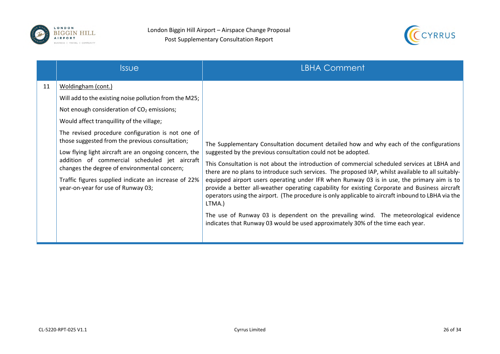



|    | <i><b>Issue</b></i>                                                                                                                                                                                                                                                                                                                                                                                                                                                                                                                                 | <b>LBHA Comment</b>                                                                                                                                                                                                                                                                                                                                                                                                                                                                                                                                                                                                                                                                                                                                                                                                                                       |
|----|-----------------------------------------------------------------------------------------------------------------------------------------------------------------------------------------------------------------------------------------------------------------------------------------------------------------------------------------------------------------------------------------------------------------------------------------------------------------------------------------------------------------------------------------------------|-----------------------------------------------------------------------------------------------------------------------------------------------------------------------------------------------------------------------------------------------------------------------------------------------------------------------------------------------------------------------------------------------------------------------------------------------------------------------------------------------------------------------------------------------------------------------------------------------------------------------------------------------------------------------------------------------------------------------------------------------------------------------------------------------------------------------------------------------------------|
| 11 | Woldingham (cont.)<br>Will add to the existing noise pollution from the M25;<br>Not enough consideration of CO <sub>2</sub> emissions;<br>Would affect tranquillity of the village;<br>The revised procedure configuration is not one of<br>those suggested from the previous consultation;<br>Low flying light aircraft are an ongoing concern, the<br>addition of commercial scheduled jet aircraft<br>changes the degree of environmental concern;<br>Traffic figures supplied indicate an increase of 22%<br>year-on-year for use of Runway 03; | The Supplementary Consultation document detailed how and why each of the configurations<br>suggested by the previous consultation could not be adopted.<br>This Consultation is not about the introduction of commercial scheduled services at LBHA and<br>there are no plans to introduce such services. The proposed IAP, whilst available to all suitably-<br>equipped airport users operating under IFR when Runway 03 is in use, the primary aim is to<br>provide a better all-weather operating capability for existing Corporate and Business aircraft<br>operators using the airport. (The procedure is only applicable to aircraft inbound to LBHA via the<br>LTMA.)<br>The use of Runway 03 is dependent on the prevailing wind. The meteorological evidence<br>indicates that Runway 03 would be used approximately 30% of the time each year. |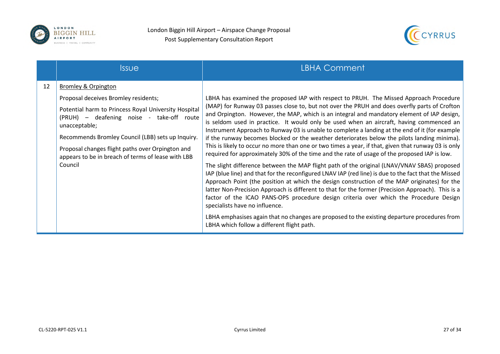



|    | <b>Issue</b>                                                                                                                                                                                                                                                                                                                                                           | LBHA Comment                                                                                                                                                                                                                                                                                                                                                                                                                                                                                                                                                                                                                                                                                                                                                                                                                                                                                                                                                                                                                                                                                                                                                                                                                                                                                                                                                                                                                                                                 |
|----|------------------------------------------------------------------------------------------------------------------------------------------------------------------------------------------------------------------------------------------------------------------------------------------------------------------------------------------------------------------------|------------------------------------------------------------------------------------------------------------------------------------------------------------------------------------------------------------------------------------------------------------------------------------------------------------------------------------------------------------------------------------------------------------------------------------------------------------------------------------------------------------------------------------------------------------------------------------------------------------------------------------------------------------------------------------------------------------------------------------------------------------------------------------------------------------------------------------------------------------------------------------------------------------------------------------------------------------------------------------------------------------------------------------------------------------------------------------------------------------------------------------------------------------------------------------------------------------------------------------------------------------------------------------------------------------------------------------------------------------------------------------------------------------------------------------------------------------------------------|
| 12 | <b>Bromley &amp; Orpington</b><br>Proposal deceives Bromley residents;<br>Potential harm to Princess Royal University Hospital<br>(PRUH) - deafening noise - take-off route<br>unacceptable;<br>Recommends Bromley Council (LBB) sets up Inquiry.<br>Proposal changes flight paths over Orpington and<br>appears to be in breach of terms of lease with LBB<br>Council | LBHA has examined the proposed IAP with respect to PRUH. The Missed Approach Procedure<br>(MAP) for Runway 03 passes close to, but not over the PRUH and does overfly parts of Crofton<br>and Orpington. However, the MAP, which is an integral and mandatory element of IAP design,<br>is seldom used in practice. It would only be used when an aircraft, having commenced an<br>Instrument Approach to Runway 03 is unable to complete a landing at the end of it (for example<br>if the runway becomes blocked or the weather deteriorates below the pilots landing minima).<br>This is likely to occur no more than one or two times a year, if that, given that runway 03 is only<br>required for approximately 30% of the time and the rate of usage of the proposed IAP is low.<br>The slight difference between the MAP flight path of the original (LNAV/VNAV SBAS) proposed<br>IAP (blue line) and that for the reconfigured LNAV IAP (red line) is due to the fact that the Missed<br>Approach Point (the position at which the design construction of the MAP originates) for the<br>latter Non-Precision Approach is different to that for the former (Precision Approach). This is a<br>factor of the ICAO PANS-OPS procedure design criteria over which the Procedure Design<br>specialists have no influence.<br>LBHA emphasises again that no changes are proposed to the existing departure procedures from<br>LBHA which follow a different flight path. |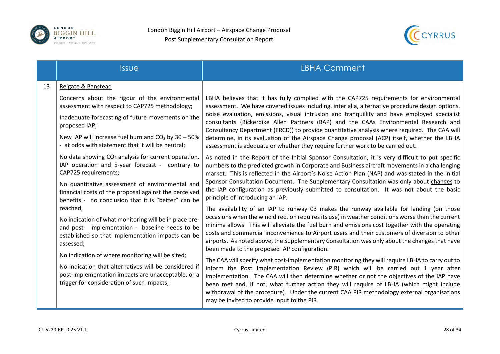

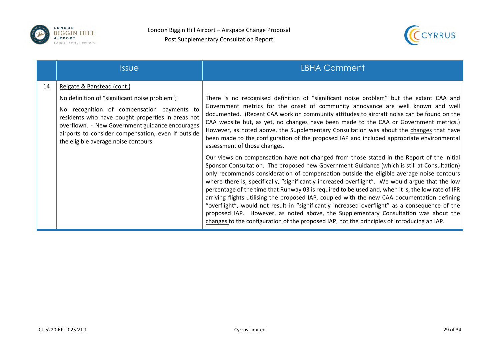



|    | <b>Issue</b>                                                                                                                                                                                                                                                                                                                    | LBHA Comment                                                                                                                                                                                                                                                                                                                                                                                                                                                                                                                                                                                                                                                                                                                                                                                                                                                                                                                                                                                                                                                                                                                                                                                                                                                                                                                                                                                                                                                                      |
|----|---------------------------------------------------------------------------------------------------------------------------------------------------------------------------------------------------------------------------------------------------------------------------------------------------------------------------------|-----------------------------------------------------------------------------------------------------------------------------------------------------------------------------------------------------------------------------------------------------------------------------------------------------------------------------------------------------------------------------------------------------------------------------------------------------------------------------------------------------------------------------------------------------------------------------------------------------------------------------------------------------------------------------------------------------------------------------------------------------------------------------------------------------------------------------------------------------------------------------------------------------------------------------------------------------------------------------------------------------------------------------------------------------------------------------------------------------------------------------------------------------------------------------------------------------------------------------------------------------------------------------------------------------------------------------------------------------------------------------------------------------------------------------------------------------------------------------------|
| 14 | Reigate & Banstead (cont.)<br>No definition of "significant noise problem";<br>No recognition of compensation payments to<br>residents who have bought properties in areas not<br>overflown. - New Government guidance encourages<br>airports to consider compensation, even if outside<br>the eligible average noise contours. | There is no recognised definition of "significant noise problem" but the extant CAA and<br>Government metrics for the onset of community annoyance are well known and well<br>documented. (Recent CAA work on community attitudes to aircraft noise can be found on the<br>CAA website but, as yet, no changes have been made to the CAA or Government metrics.)<br>However, as noted above, the Supplementary Consultation was about the changes that have<br>been made to the configuration of the proposed IAP and included appropriate environmental<br>assessment of those changes.<br>Our views on compensation have not changed from those stated in the Report of the initial<br>Sponsor Consultation. The proposed new Government Guidance (which is still at Consultation)<br>only recommends consideration of compensation outside the eligible average noise contours<br>where there is, specifically, "significantly increased overflight". We would argue that the low<br>percentage of the time that Runway 03 is required to be used and, when it is, the low rate of IFR<br>arriving flights utilising the proposed IAP, coupled with the new CAA documentation defining<br>"overflight", would not result in "significantly increased overflight" as a consequence of the<br>proposed IAP. However, as noted above, the Supplementary Consultation was about the<br>changes to the configuration of the proposed IAP, not the principles of introducing an IAP. |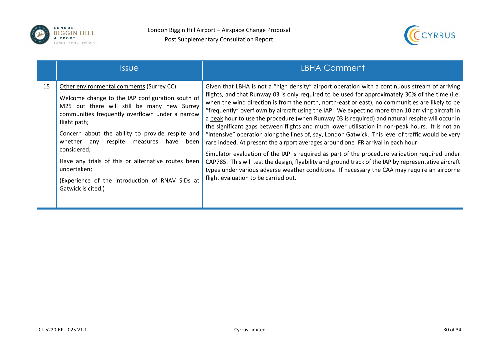



|    | <b>Issue</b>                                                                                                                                                                                                                                                                                                                                                                                                                                                                             | <b>LBHA Comment</b>                                                                                                                                                                                                                                                                                                                                                                                                                                                                                                                                                                                                                                                                                                                                                                                                                                                                                                                                                                                                                                                                                                                                         |
|----|------------------------------------------------------------------------------------------------------------------------------------------------------------------------------------------------------------------------------------------------------------------------------------------------------------------------------------------------------------------------------------------------------------------------------------------------------------------------------------------|-------------------------------------------------------------------------------------------------------------------------------------------------------------------------------------------------------------------------------------------------------------------------------------------------------------------------------------------------------------------------------------------------------------------------------------------------------------------------------------------------------------------------------------------------------------------------------------------------------------------------------------------------------------------------------------------------------------------------------------------------------------------------------------------------------------------------------------------------------------------------------------------------------------------------------------------------------------------------------------------------------------------------------------------------------------------------------------------------------------------------------------------------------------|
| 15 | Other environmental comments (Surrey CC)<br>Welcome change to the IAP configuration south of<br>M25 but there will still be many new Surrey<br>communities frequently overflown under a narrow<br>flight path;<br>Concern about the ability to provide respite and<br>whether<br>been<br>respite<br>have<br>measures<br>any<br>considered;<br>Have any trials of this or alternative routes been<br>undertaken;<br>(Experience of the introduction of RNAV SIDs at<br>Gatwick is cited.) | Given that LBHA is not a "high density" airport operation with a continuous stream of arriving<br>flights, and that Runway 03 is only required to be used for approximately 30% of the time (i.e.<br>when the wind direction is from the north, north-east or east), no communities are likely to be<br>"frequently" overflown by aircraft using the IAP. We expect no more than 10 arriving aircraft in<br>a peak hour to use the procedure (when Runway 03 is required) and natural respite will occur in<br>the significant gaps between flights and much lower utilisation in non-peak hours. It is not an<br>"intensive" operation along the lines of, say, London Gatwick. This level of traffic would be very<br>rare indeed. At present the airport averages around one IFR arrival in each hour.<br>Simulator evaluation of the IAP is required as part of the procedure validation required under<br>CAP785. This will test the design, flyability and ground track of the IAP by representative aircraft<br>types under various adverse weather conditions. If necessary the CAA may require an airborne<br>flight evaluation to be carried out. |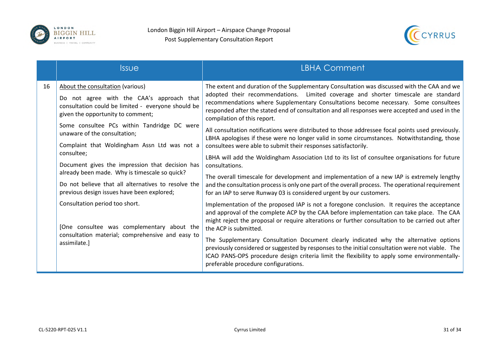



|    | <b>Issue</b>                                                                                                                                                                                                                                                                                                                                                                                                                                                                                                                   | <b>LBHA Comment</b>                                                                                                                                                                                                                                                                                                                                                                                                                                                                                                                                                                                                                                                                                                                                                                                                                                                                                                                                                                                                                                                           |
|----|--------------------------------------------------------------------------------------------------------------------------------------------------------------------------------------------------------------------------------------------------------------------------------------------------------------------------------------------------------------------------------------------------------------------------------------------------------------------------------------------------------------------------------|-------------------------------------------------------------------------------------------------------------------------------------------------------------------------------------------------------------------------------------------------------------------------------------------------------------------------------------------------------------------------------------------------------------------------------------------------------------------------------------------------------------------------------------------------------------------------------------------------------------------------------------------------------------------------------------------------------------------------------------------------------------------------------------------------------------------------------------------------------------------------------------------------------------------------------------------------------------------------------------------------------------------------------------------------------------------------------|
| 16 | About the consultation (various)<br>Do not agree with the CAA's approach that<br>consultation could be limited - everyone should be<br>given the opportunity to comment;<br>Some consultee PCs within Tandridge DC were<br>unaware of the consultation;<br>Complaint that Woldingham Assn Ltd was not a<br>consultee;<br>Document gives the impression that decision has<br>already been made. Why is timescale so quick?<br>Do not believe that all alternatives to resolve the<br>previous design issues have been explored; | The extent and duration of the Supplementary Consultation was discussed with the CAA and we<br>adopted their recommendations. Limited coverage and shorter timescale are standard<br>recommendations where Supplementary Consultations become necessary. Some consultees<br>responded after the stated end of consultation and all responses were accepted and used in the<br>compilation of this report.<br>All consultation notifications were distributed to those addressee focal points used previously.<br>LBHA apologises if these were no longer valid in some circumstances. Notwithstanding, those<br>consultees were able to submit their responses satisfactorily.<br>LBHA will add the Woldingham Association Ltd to its list of consultee organisations for future<br>consultations.<br>The overall timescale for development and implementation of a new IAP is extremely lengthy<br>and the consultation process is only one part of the overall process. The operational requirement<br>for an IAP to serve Runway 03 is considered urgent by our customers. |
|    | Consultation period too short.<br>[One consultee was complementary about the<br>consultation material; comprehensive and easy to<br>assimilate.]                                                                                                                                                                                                                                                                                                                                                                               | Implementation of the proposed IAP is not a foregone conclusion. It requires the acceptance<br>and approval of the complete ACP by the CAA before implementation can take place. The CAA<br>might reject the proposal or require alterations or further consultation to be carried out after<br>the ACP is submitted.<br>The Supplementary Consultation Document clearly indicated why the alternative options<br>previously considered or suggested by responses to the initial consultation were not viable. The<br>ICAO PANS-OPS procedure design criteria limit the flexibility to apply some environmentally-<br>preferable procedure configurations.                                                                                                                                                                                                                                                                                                                                                                                                                    |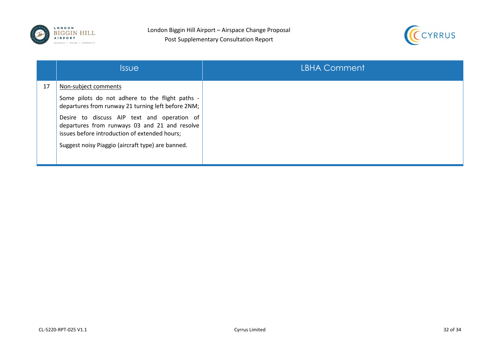



|    | <i><b>Issue</b></i>                                                                                                                                                                                                                                                                                                                 | LBHA Comment <sup>1</sup> |
|----|-------------------------------------------------------------------------------------------------------------------------------------------------------------------------------------------------------------------------------------------------------------------------------------------------------------------------------------|---------------------------|
| 17 | Non-subject comments<br>Some pilots do not adhere to the flight paths -<br>departures from runway 21 turning left before 2NM;<br>Desire to discuss AIP text and operation of<br>departures from runways 03 and 21 and resolve<br>issues before introduction of extended hours;<br>Suggest noisy Piaggio (aircraft type) are banned. |                           |
|    |                                                                                                                                                                                                                                                                                                                                     |                           |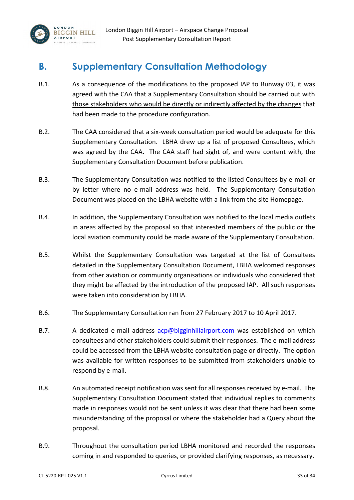

## <span id="page-33-0"></span>**B. Supplementary Consultation Methodology**

- B.1. As a consequence of the modifications to the proposed IAP to Runway 03, it was agreed with the CAA that a Supplementary Consultation should be carried out with those stakeholders who would be directly or indirectly affected by the changes that had been made to the procedure configuration.
- B.2. The CAA considered that a six-week consultation period would be adequate for this Supplementary Consultation. LBHA drew up a list of proposed Consultees, which was agreed by the CAA. The CAA staff had sight of, and were content with, the Supplementary Consultation Document before publication.
- B.3. The Supplementary Consultation was notified to the listed Consultees by e-mail or by letter where no e-mail address was held*.* The Supplementary Consultation Document was placed on the LBHA website with a link from the site Homepage.
- B.4. In addition, the Supplementary Consultation was notified to the local media outlets in areas affected by the proposal so that interested members of the public or the local aviation community could be made aware of the Supplementary Consultation.
- B.5. Whilst the Supplementary Consultation was targeted at the list of Consultees detailed in the Supplementary Consultation Document, LBHA welcomed responses from other aviation or community organisations or individuals who considered that they might be affected by the introduction of the proposed IAP. All such responses were taken into consideration by LBHA.
- B.6. The Supplementary Consultation ran from 27 February 2017 to 10 April 2017.
- B.7. A dedicated e-mail address [acp@bigginhillairport.com](mailto:acp@bigginhillairport.com) was established on which consultees and other stakeholders could submit their responses. The e-mail address could be accessed from the LBHA website consultation page or directly. The option was available for written responses to be submitted from stakeholders unable to respond by e-mail.
- B.8. An automated receipt notification was sent for all responses received by e-mail. The Supplementary Consultation Document stated that individual replies to comments made in responses would not be sent unless it was clear that there had been some misunderstanding of the proposal or where the stakeholder had a Query about the proposal.
- B.9. Throughout the consultation period LBHA monitored and recorded the responses coming in and responded to queries, or provided clarifying responses, as necessary.